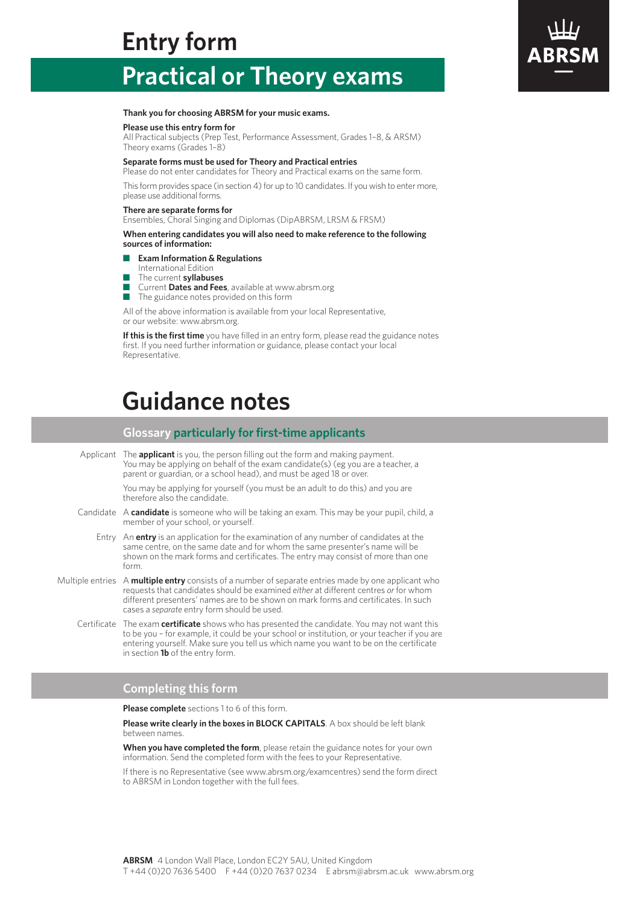# **Entry form**

# **Practical or Theory exams**

### **Thank you for choosing ABRSM for your music exams.**

### **Please use this entry form for**

All Practical subjects (Prep Test, Performance Assessment, Grades 1–8, & ARSM) Theory exams (Grades 1–8)

### **Separate forms must be used for Theory and Practical entries**

Please do not enter candidates for Theory and Practical exams on the same form.

This form provides space (in section 4) for up to 10 candidates. If you wish to enter more, please use additional forms.

### **There are separate forms for**

Ensembles, Choral Singing and Diplomas (DipABRSM, LRSM & FRSM)

**When entering candidates you will also need to make reference to the following sources of information:**

- n **Exam Information & Regulations**
- International Edition
- n The current **syllabuses**
- n Current **Dates and Fees**, available at www.abrsm.org
- $\blacksquare$  The guidance notes provided on this form

All of the above information is available from your local Representative, or our website: www.abrsm.org.

**If this is the first time** you have filled in an entry form, please read the guidance notes first. If you need further information or guidance, please contact your local Representative.

# **Guidance notes**

### **Glossary particularly forfirst-time applicants**

Applicant The **applicant** is you, the person filling out the form and making payment. You may be applying on behalf of the exam candidate(s) (eg you are a teacher, a parent or guardian, or a school head), and must be aged 18 or over.

> You may be applying for yourself (you must be an adult to do this) and you are therefore also the candidate.

- Candidate A candidate is someone who will be taking an exam. This may be your pupil, child, a member of your school, or yourself.
	- Entry An **entry** is an application for the examination of any number of candidates at the same centre, on the same date and for whom the same presenter's name will be shown on the mark forms and certificates. The entry may consist of more than one form.
- Multiple entries A **multiple entry** consists of a number of separate entries made by one applicant who requests that candidates should be examined *either* at different centres *or* for whom different presenters' names are to be shown on mark forms and certificates. In such cases a *separate* entry form should be used.
	- Certificate The exam **certificate** shows who has presented the candidate. You may not want this to be you – for example, it could be your school or institution, or your teacher if you are entering yourself. Make sure you tell us which name you want to be on the certificate in section **1b** of the entry form.

### **Completing this form**

**Please complete** sections 1 to 6 of this form.

**Please write clearly in the boxes in BLOCK CAPITALS**. A box should be left blank between names.

**When you have completed the form**, please retain the guidance notes for your own information. Send the completed form with the fees to your Representative.

If there is no Representative (see www.abrsm.org/examcentres) send the form direct to ABRSM in London together with the full fees.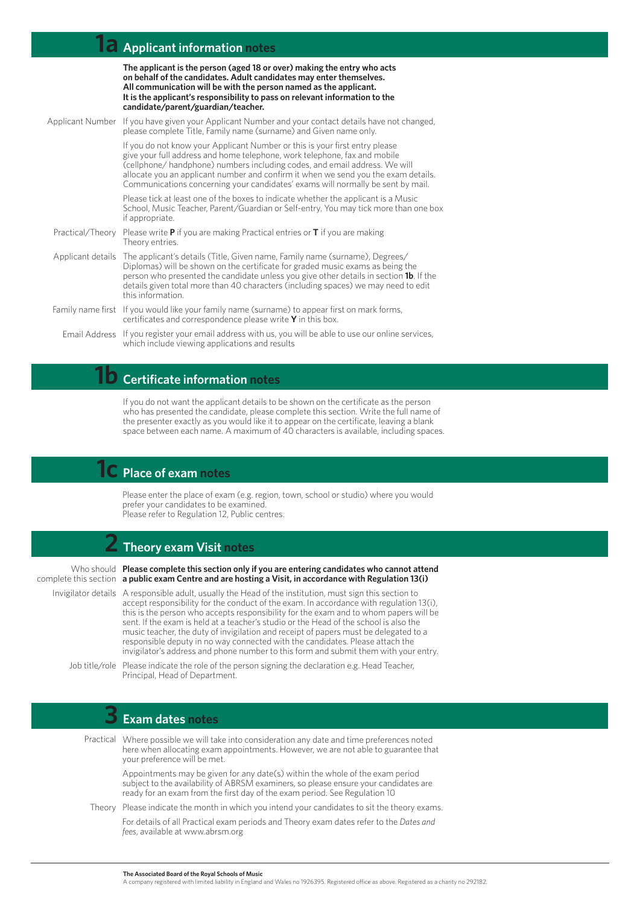## **1a Applicant information notes**

**The applicant is the person (aged 18 or over) making the entry who acts on behalf of the candidates. Adult candidates may enter themselves. All communication will be with the person named as the applicant. It is the applicant's responsibility to pass on relevant information to the candidate/parent/guardian/teacher.**

| Applicant Number If you have given your Applicant Number and your contact details have not changed,<br>please complete Title, Family name (surname) and Given name only.                                                                                                                                                                                                                                       |  |  |  |
|----------------------------------------------------------------------------------------------------------------------------------------------------------------------------------------------------------------------------------------------------------------------------------------------------------------------------------------------------------------------------------------------------------------|--|--|--|
| If you do not know your Applicant Number or this is your first entry please<br>give your full address and home telephone, work telephone, fax and mobile<br>(cellphone/handphone) numbers including codes, and email address. We will<br>allocate you an applicant number and confirm it when we send you the exam details.<br>Communications concerning your candidates' exams will normally be sent by mail. |  |  |  |
| Please tick at least one of the boxes to indicate whether the applicant is a Music<br>School, Music Teacher, Parent/Guardian or Self-entry. You may tick more than one box<br>if appropriate.                                                                                                                                                                                                                  |  |  |  |
| Practical/Theory Please write <b>P</b> if you are making Practical entries or <b>T</b> if you are making<br>Theory entries.                                                                                                                                                                                                                                                                                    |  |  |  |
| Applicant details The applicant's details (Title, Given name, Family name (surname), Degrees/<br>Diplomas) will be shown on the certificate for graded music exams as being the<br>person who presented the candidate unless you give other details in section <b>1b</b> . If the<br>details given total more than 40 characters (including spaces) we may need to edit<br>this information.                   |  |  |  |
| Family name first If you would like your family name (surname) to appear first on mark forms,<br>certificates and correspondence please write $Y$ in this box.                                                                                                                                                                                                                                                 |  |  |  |
| Email Address If you register your email address with us, you will be able to use our online services,<br>which include viewing applications and results                                                                                                                                                                                                                                                       |  |  |  |

## **1b Certificate information notes**

If you do not want the applicant details to be shown on the certificate as the person who has presented the candidate, please complete this section. Write the full name of the presenter exactly as you would like it to appear on the certificate, leaving a blank space between each name. A maximum of 40 characters is available, including spaces.

## **1c Place of exam notes**

Please enter the place of exam (e.g. region, town, school or studio) where you would prefer your candidates to be examined. Please refer to Regulation 12, Public centres.

## **2 Theory exam Visit notes**

Who should **Please complete this section only if you are entering candidates who cannot attend** complete this section **a public exam Centre and are hosting a Visit, in accordance with Regulation 13(i)**

Invigilator details A responsible adult, usually the Head of the institution, must sign this section to accept responsibility for the conduct of the exam. In accordance with regulation 13(i), this is the person who accepts responsibility for the exam and to whom papers will be sent. If the exam is held at a teacher's studio or the Head of the school is also the music teacher, the duty of invigilation and receipt of papers must be delegated to a responsible deputy in no way connected with the candidates. Please attach the invigilator's address and phone number to this form and submit them with your entry.

Job title/role Please indicate the role of the person signing the declaration e.g. Head Teacher, Principal, Head of Department.

## **3 Exam dates notes**

Practical Where possible we will take into consideration any date and time preferences noted Theory Please indicate the month in which you intend your candidates to sit the theory exams. here when allocating exam appointments. However, we are not able to guarantee that your preference will be met. Appointments may be given for any date(s) within the whole of the exam period subject to the availability of ABRSM examiners, so please ensure your candidates are ready for an exam from the first day of the exam period. See Regulation 10 For details of all Practical exam periods and Theory exam dates refer to the *Dates and fees*, available at www.abrsm.org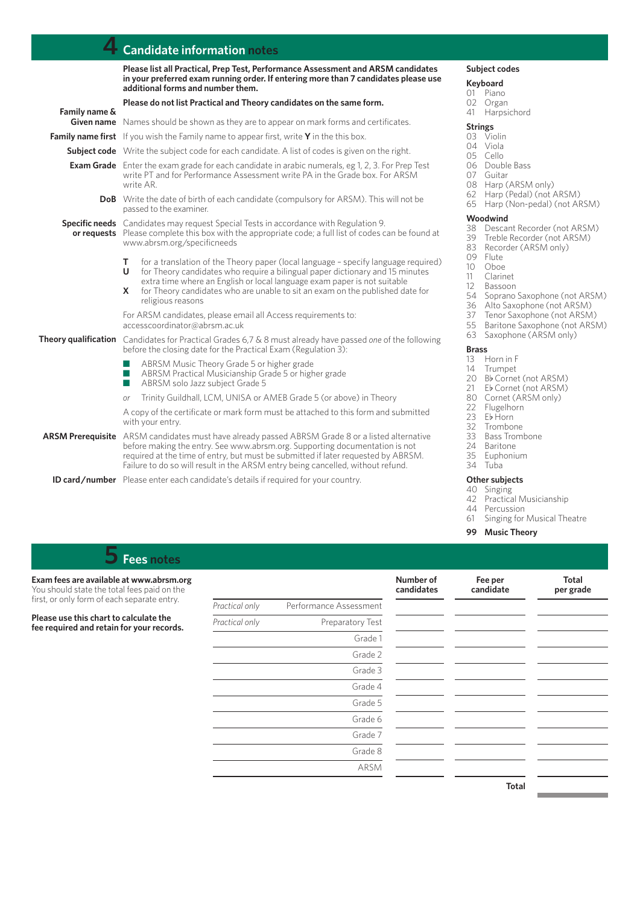## **4 Candidate information notes**

|               | Please list all Practical, Prep Test, Performance Assessment and ARSM candidates<br>in your preferred exam running order. If entering more than 7 candidates please use<br>additional forms and number them.                                                                                                                                                          |  |  |  |  |  |
|---------------|-----------------------------------------------------------------------------------------------------------------------------------------------------------------------------------------------------------------------------------------------------------------------------------------------------------------------------------------------------------------------|--|--|--|--|--|
|               | Please do not list Practical and Theory candidates on the same form.                                                                                                                                                                                                                                                                                                  |  |  |  |  |  |
| Family name & | <b>Given name</b> Names should be shown as they are to appear on mark forms and certificates.                                                                                                                                                                                                                                                                         |  |  |  |  |  |
|               | <b>Family name first</b> If you wish the Family name to appear first, write $\mathbf{Y}$ in the this box.                                                                                                                                                                                                                                                             |  |  |  |  |  |
|               | <b>Subject code</b> Write the subject code for each candidate. A list of codes is given on the right.                                                                                                                                                                                                                                                                 |  |  |  |  |  |
|               | <b>Exam Grade</b> Enter the exam grade for each candidate in arabic numerals, eg 1, 2, 3. For Prep Test<br>write PT and for Performance Assessment write PA in the Grade box. For ARSM<br>write AR.                                                                                                                                                                   |  |  |  |  |  |
|               | <b>DoB</b> Write the date of birth of each candidate (compulsory for ARSM). This will not be<br>passed to the examiner.                                                                                                                                                                                                                                               |  |  |  |  |  |
|               | <b>Specific needs</b> Candidates may request Special Tests in accordance with Regulation 9.<br>or requests Please complete this box with the appropriate code; a full list of codes can be found at<br>www.abrsm.org/specificneeds                                                                                                                                    |  |  |  |  |  |
|               | for a translation of the Theory paper (local language - specify language required)<br>т<br>for Theory candidates who require a bilingual paper dictionary and 15 minutes<br>U<br>extra time where an English or local language exam paper is not suitable<br>for Theory candidates who are unable to sit an exam on the published date for<br>x.<br>religious reasons |  |  |  |  |  |
|               | For ARSM candidates, please email all Access requirements to:<br>accesscoordinator@abrsm.ac.uk                                                                                                                                                                                                                                                                        |  |  |  |  |  |
|               | Theory qualification Candidates for Practical Grades 6,7 & 8 must already have passed one of the following<br>before the closing date for the Practical Exam (Regulation 3):                                                                                                                                                                                          |  |  |  |  |  |
|               | ABRSM Music Theory Grade 5 or higher grade<br>ABRSM Practical Musicianship Grade 5 or higher grade<br>a a<br>ABRSM solo Jazz subject Grade 5<br><b>College</b>                                                                                                                                                                                                        |  |  |  |  |  |
|               | Trinity Guildhall, LCM, UNISA or AMEB Grade 5 (or above) in Theory<br>or                                                                                                                                                                                                                                                                                              |  |  |  |  |  |
|               | A copy of the certificate or mark form must be attached to this form and submitted<br>with your entry.                                                                                                                                                                                                                                                                |  |  |  |  |  |
|               | <b>ARSM Prerequisite</b> ARSM candidates must have already passed ABRSM Grade 8 or a listed alternative<br>before making the entry. See www.abrsm.org. Supporting documentation is not<br>required at the time of entry, but must be submitted if later requested by ABRSM.<br>Failure to do so will result in the ARSM entry being cancelled, without refund.        |  |  |  |  |  |
|               | the contract of the contract of the contract of the contract of the contract of the contract of the contract of the contract of the contract of the contract of the contract of the contract of the contract of the contract o                                                                                                                                        |  |  |  |  |  |

**ID card/number** Please enter each candidate's details if required for your country.

## **Subject codes**

## **Keyboard**<br>01 Piand

- 01 Piano<br>02 Organ
- 02 Organ<br>41 Harpsi Harpsichord

## **Strings**<br>03 Vio

- 03 Violin<br>04 Viola 04 Viola<br>05 Cello
- 
- 05 Cello<br>06 Doub 06 Double Bass<br>07 Guitar
- Guitar
- 08 Harp (ARSM only)
- 62 Harp (Pedal) (not ARSM)<br>65 Harp (Non-pedal) (not AR
- Harp (Non-pedal) (not ARSM)

## **Woodwind**<br>38 Descar

- 38 Descant Recorder (not ARSM)
- 39 Treble Recorder (not ARSM)<br>83 Recorder (ARSM only)
- 83 Recorder (ARSM only)<br>09 Flute
- 09 Flute<br>10 Oboe
- 
- 10 Oboe<br>11 Clarin
- 11 Clarinet<br>12 Bassoor
- 12 Bassoon<br>54 Soprano 54 Soprano Saxophone (not ARSM)<br>36 Alto Saxophone (not ARSM)
- 36 Alto Saxophone (not ARSM)
- 
- 37 Tenor Saxophone (not ARSM)<br>55 Baritone Saxophone (not ARSI Baritone Saxophone (not ARSM)
- 63 Saxophone (ARSM only)

### **Brass**

- 13 Horn in F<br>14 Trumpet
- 
- 14 Trumpet<br>20 Bb Corne 20 Bb Cornet (not ARSM)<br>21 Eb Cornet (not ARSM)
- 21 Eb Cornet (not ARSM)<br>80 Cornet (ARSM only)
- 80 Cornet (ARSM only)<br>22 Flugelhorn
- 22 Flugelhorn<br>23 Eb Horn
- 23 Eb Horn<br>32 Trombo
- **Trombone**
- 33 Bass Trombone<br>24 Baritone
- 24 Baritone<br>35 Euphonii
	-
- 35 Euphonium<br>34 Tuba 34 Tuba

### **Other subjects**

- 40 Singing
- 42 Practical Musicianship
- 44 Percussion<br>61 Singing for
- Singing for Musical Theatre

### **99 Music Theory**

## **5 Fees notes**

**Exam fees are available at www.abrsm.org** You should state the total fees paid on the first, or only form of each separate entry.

**Please use this chart to calculate the fee required and retain for your records.**

| Practical only | Performance Assessment  |
|----------------|-------------------------|
| Practical only | <b>Preparatory Test</b> |
|                | Grade 1                 |
|                | Grade 2                 |
|                | Grade 3                 |
|                | Grade 4                 |
|                | Grade 5                 |
|                | Grade 6                 |
|                | Grade 7                 |
|                | Grade 8                 |
|                | ARSM                    |

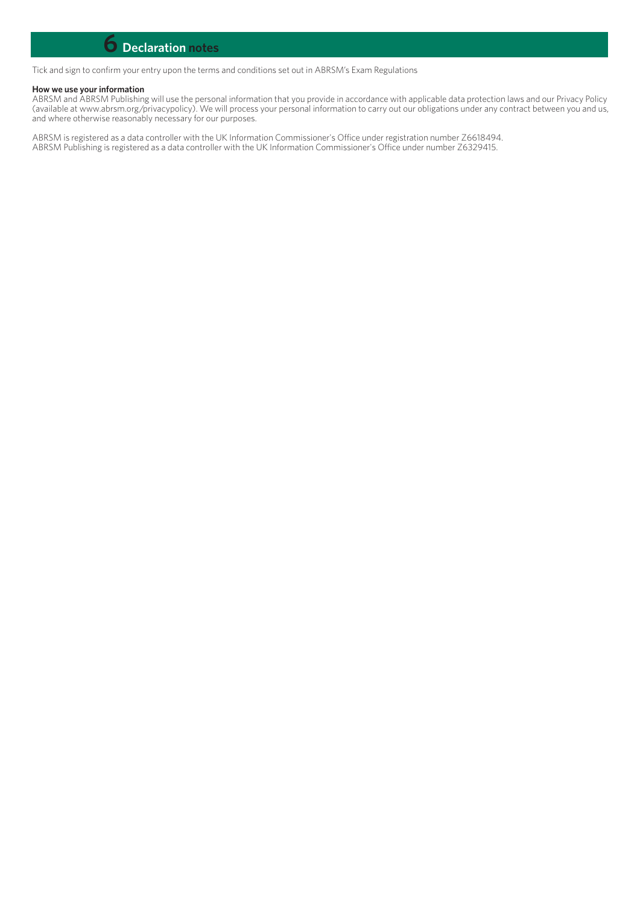## **6 Declaration notes**

Tick and sign to confirm your entry upon the terms and conditions set out in ABRSM's Exam Regulations

### **How we use your information**

ABRSM and ABRSM Publishing will use the personal information that you provide in accordance with applicable data protection laws and our Privacy Policy (available at www.abrsm.org/privacypolicy). We will process your personal information to carry out our obligations under any contract between you and us, and where otherwise reasonably necessary for our purposes.

ABRSM is registered as a data controller with the UK Information Commissioner's Office under registration number Z6618494. ABRSM Publishing is registered as a data controller with the UK Information Commissioner's Office under number Z6329415.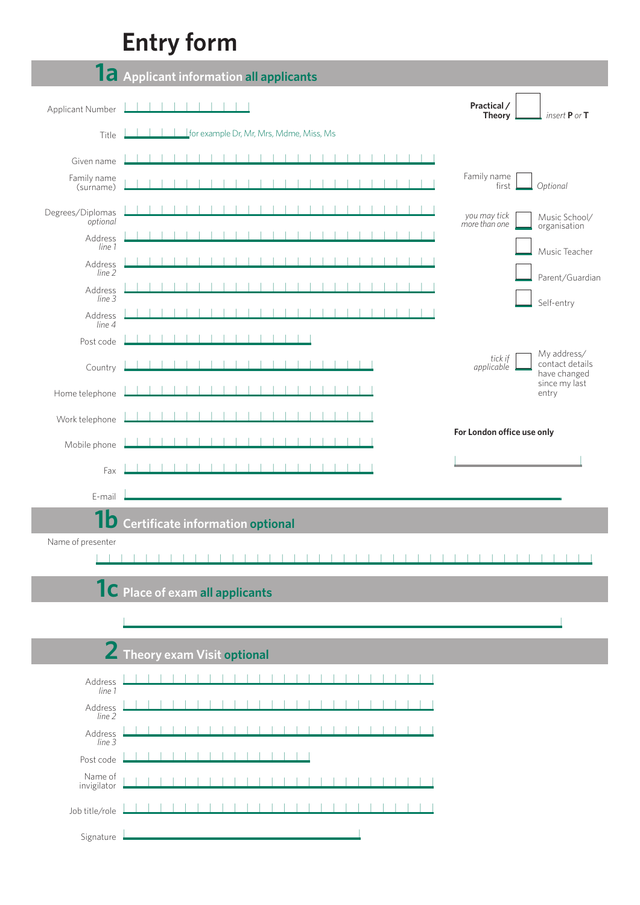# **Entry form**

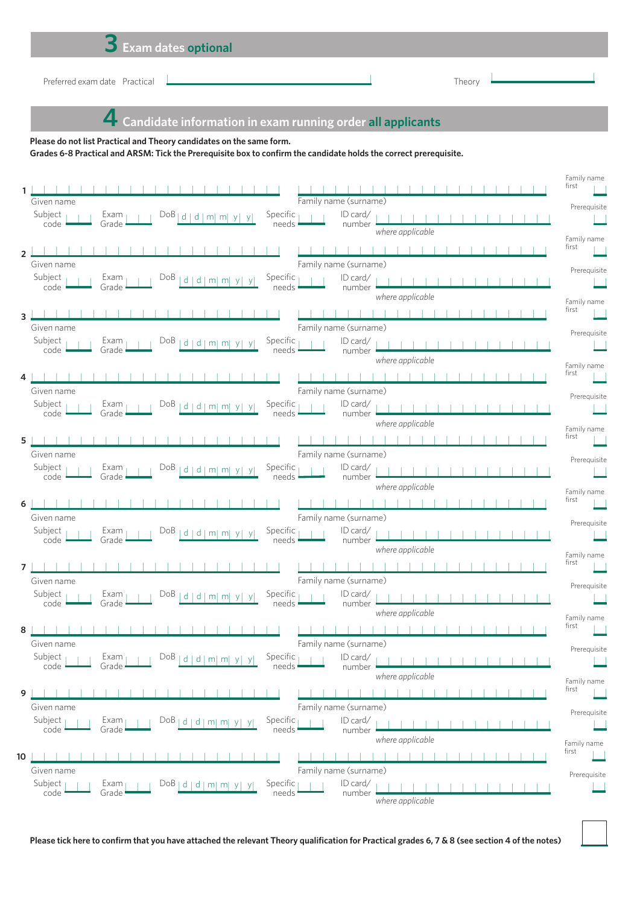# **3 Exam dates optional**

example and the Practical Theory and the Practical Theory and the original Theory and the original Theory and Theory and Theory and Theory and Theory and Theory and Theory and Theory and Theory and Theory and Theory and Th

 **4 Candidate information in exam running order all applicants**

**Please do not list Practical and Theory candidates on the same form.**

Grades 6-8 Practical and ARSM: Tick the Prerequisite box to confirm the candidate holds the correct prerequisite.

|               |                                                                                                      |                         |                                   |                  | Family name<br>first |
|---------------|------------------------------------------------------------------------------------------------------|-------------------------|-----------------------------------|------------------|----------------------|
|               | Given name                                                                                           |                         | Family name (surname)             |                  |                      |
|               | Subject $\overline{ }$<br>$Exam_1$<br>$DoB$   d   d   m  m  y  y                                     | Specific $_1$           | ID card/                          |                  | Prerequisite         |
|               | $code -$<br>Grade ·                                                                                  | needs                   | number                            | where applicable |                      |
|               |                                                                                                      |                         |                                   |                  | Family name<br>first |
| $\mathcal{P}$ |                                                                                                      |                         |                                   |                  |                      |
|               | Given name<br>Subject                                                                                |                         | Family name (surname)             |                  | Prerequisite         |
|               | Exam<br>$DoB$   d   d   m  m  y  y <br>Grade<br>code                                                 | Specific $_1$<br>needs  | ID card/<br>number                |                  |                      |
|               |                                                                                                      |                         |                                   | where applicable | Family name          |
| 3             |                                                                                                      |                         |                                   |                  | first                |
|               | Given name                                                                                           |                         | Family name (surname)             |                  | Prerequisite         |
|               | Subject,<br>$Exam_1$<br>$DoB$   d   d   m  m  y  y                                                   | Specific $\overline{ }$ | ID card/                          |                  |                      |
|               | code<br>Grade ·                                                                                      | needs                   | number                            | where applicable |                      |
|               |                                                                                                      |                         |                                   |                  | Family name<br>first |
|               | Given name                                                                                           |                         | Family name (surname)             |                  |                      |
|               | Subject<br>$Exam_1$<br>$DoB$   d   d   m  m  y  y                                                    | Specific,               | $ID \, \text{card}/$              |                  | Prerequisite         |
|               | code ·<br>Grade                                                                                      | needs -                 | number                            |                  |                      |
|               |                                                                                                      |                         |                                   | where applicable | Family name          |
| 5             |                                                                                                      |                         |                                   |                  | first                |
|               | Given name                                                                                           |                         | Family name (surname)             |                  | Prerequisite         |
|               | Subject<br>$Exam_1$<br>$DoB$   d   d   m  m  y <br>$code \cdot$<br>Grade                             | Specific<br>needs -     | ID card/<br>number                |                  |                      |
|               |                                                                                                      |                         |                                   | where applicable | Family name          |
| 6             |                                                                                                      |                         |                                   |                  | first                |
|               | Given name                                                                                           |                         | Family name (surname)             |                  | Prerequisite         |
|               | Subject<br>$Exam_1$<br>$DoB$   d   d   m  m  y  y                                                    | Specific,               | ID card/                          |                  |                      |
|               | $code \cdot$<br>Grade                                                                                | needs                   | number                            | where applicable |                      |
|               |                                                                                                      |                         |                                   |                  | Family name<br>first |
| 7             | Given name                                                                                           |                         | Family name (surname)             |                  |                      |
|               | Subject<br>Exam<br>$DoB$   d   d   m  m  y  y                                                        | Specific                | ID card/                          |                  | Prerequisite         |
|               | $code \cdot$<br>Grade                                                                                | needs                   | number                            |                  |                      |
|               |                                                                                                      |                         |                                   | where applicable | Family name          |
| 8             |                                                                                                      |                         |                                   |                  | first                |
|               | Given name                                                                                           |                         | Family name (surname)             |                  | Prerequisite         |
|               | Subject $\overline{ }$<br>$DOB  d  d  m  m  y  y$ Specific $     $ ID card/<br>Exam<br>Grade<br>code | needs                   | number                            |                  |                      |
|               |                                                                                                      |                         |                                   | where applicable | Family name          |
| 9             |                                                                                                      |                         |                                   |                  | first                |
|               | Given name                                                                                           |                         | Family name (surname)             |                  |                      |
|               | Subject<br>Exam <sub>1</sub><br>DoB   d   d   m   m   y   y                                          | Specific                | ID card/                          |                  | Prerequisite         |
|               | code<br>Grade                                                                                        | needs                   | number                            | where applicable |                      |
|               |                                                                                                      |                         |                                   |                  | Family name<br>first |
| 10            |                                                                                                      |                         |                                   |                  |                      |
|               | Given name<br>Subject                                                                                | Specific                | Family name (surname)<br>ID card/ |                  | Prerequisite         |
|               | Exam <sub>1</sub><br>DoB   d   d   m   m   y   y<br>code<br>Grade                                    | needs                   | number                            |                  |                      |
|               |                                                                                                      |                         |                                   | where applicable |                      |

Please tick here to confirm that you have attached the relevant Theory qualification for Practical grades 6, 7 & 8 (see section 4 of the notes)